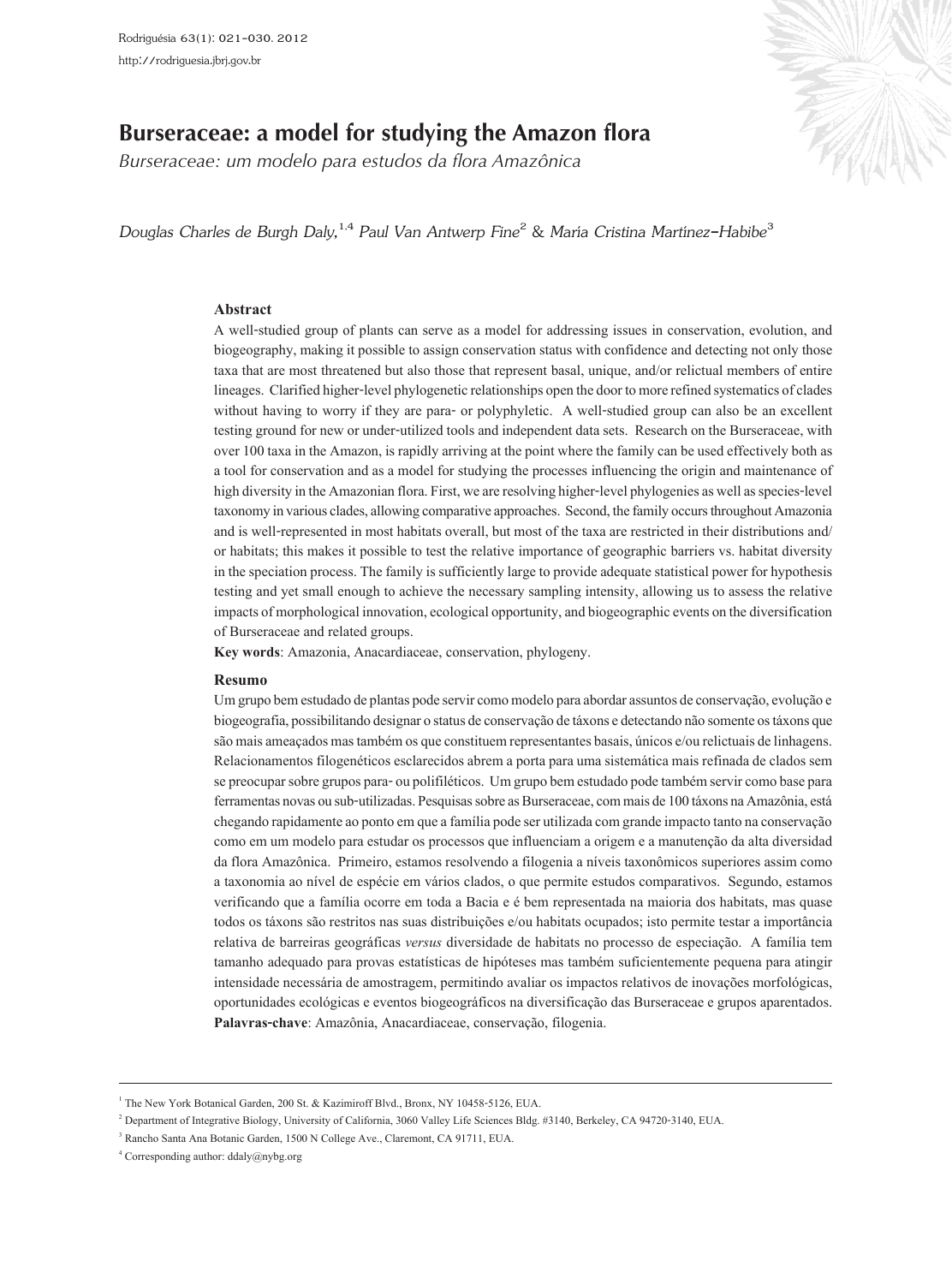# **Burseraceae: a model for studying the Amazon flora**

*Burseraceae: um modelo para estudos da flora Amazônica*



*Douglas Charles de Burgh Daly,*1,4 *Paul Van Antwerp Fine*<sup>2</sup> & *María Cristina Martínez-Habibe*<sup>3</sup>

#### **Abstract**

A well-studied group of plants can serve as a model for addressing issues in conservation, evolution, and biogeography, making it possible to assign conservation status with confidence and detecting not only those taxa that are most threatened but also those that represent basal, unique, and/or relictual members of entire lineages. Clarified higher-level phylogenetic relationships open the door to more refined systematics of clades without having to worry if they are para- or polyphyletic. A well-studied group can also be an excellent testing ground for new or under-utilized tools and independent data sets. Research on the Burseraceae, with over 100 taxa in the Amazon, is rapidly arriving at the point where the family can be used effectively both as a tool for conservation and as a model for studying the processes influencing the origin and maintenance of high diversity in the Amazonian flora. First, we are resolving higher-level phylogenies as well as species-level taxonomy in various clades, allowing comparative approaches. Second, the family occurs throughout Amazonia and is well-represented in most habitats overall, but most of the taxa are restricted in their distributions and/ or habitats; this makes it possible to test the relative importance of geographic barriers vs. habitat diversity in the speciation process. The family is sufficiently large to provide adequate statistical power for hypothesis testing and yet small enough to achieve the necessary sampling intensity, allowing us to assess the relative impacts of morphological innovation, ecological opportunity, and biogeographic events on the diversification of Burseraceae and related groups.

**Key words**: Amazonia, Anacardiaceae, conservation, phylogeny.

#### **Resumo**

Um grupo bem estudado de plantas pode servir como modelo para abordar assuntos de conservação, evolução e biogeografia, possibilitando designar o status de conservação de táxons e detectando não somente os táxons que são mais ameaçados mas também os que constituem representantes basais, únicos e/ou relictuais de linhagens. Relacionamentos filogenéticos esclarecidos abrem a porta para uma sistemática mais refinada de clados sem se preocupar sobre grupos para- ou polifiléticos. Um grupo bem estudado pode também servir como base para ferramentas novas ou sub-utilizadas. Pesquisas sobre as Burseraceae, com mais de 100 táxons na Amazônia, está chegando rapidamente ao ponto em que a família pode ser utilizada com grande impacto tanto na conservação como em um modelo para estudar os processos que influenciam a origem e a manutenção da alta diversidad da flora Amazônica. Primeiro, estamos resolvendo a filogenia a níveis taxonômicos superiores assim como a taxonomia ao nível de espécie em vários clados, o que permite estudos comparativos. Segundo, estamos verificando que a família ocorre em toda a Bacia e é bem representada na maioria dos habitats, mas quase todos os táxons são restritos nas suas distribuições e/ou habitats ocupados; isto permite testar a importância relativa de barreiras geográficas *versus* diversidade de habitats no processo de especiação. A família tem tamanho adequado para provas estatísticas de hipóteses mas também suficientemente pequena para atingir intensidade necessária de amostragem, permitindo avaliar os impactos relativos de inovações morfológicas, oportunidades ecológicas e eventos biogeográficos na diversificação das Burseraceae e grupos aparentados. **Palavras-chave**: Amazônia, Anacardiaceae, conservação, filogenia.

<sup>1</sup> The New York Botanical Garden, 200 St. & Kazimiroff Blvd., Bronx, NY 10458-5126, EUA.

<sup>2</sup> Department of Integrative Biology, University of California, 3060 Valley Life Sciences Bldg. #3140, Berkeley, CA 94720-3140, EUA.

<sup>3</sup> Rancho Santa Ana Botanic Garden, 1500 N College Ave., Claremont, CA 91711, EUA.

<sup>4</sup> Corresponding author: ddaly@nybg.org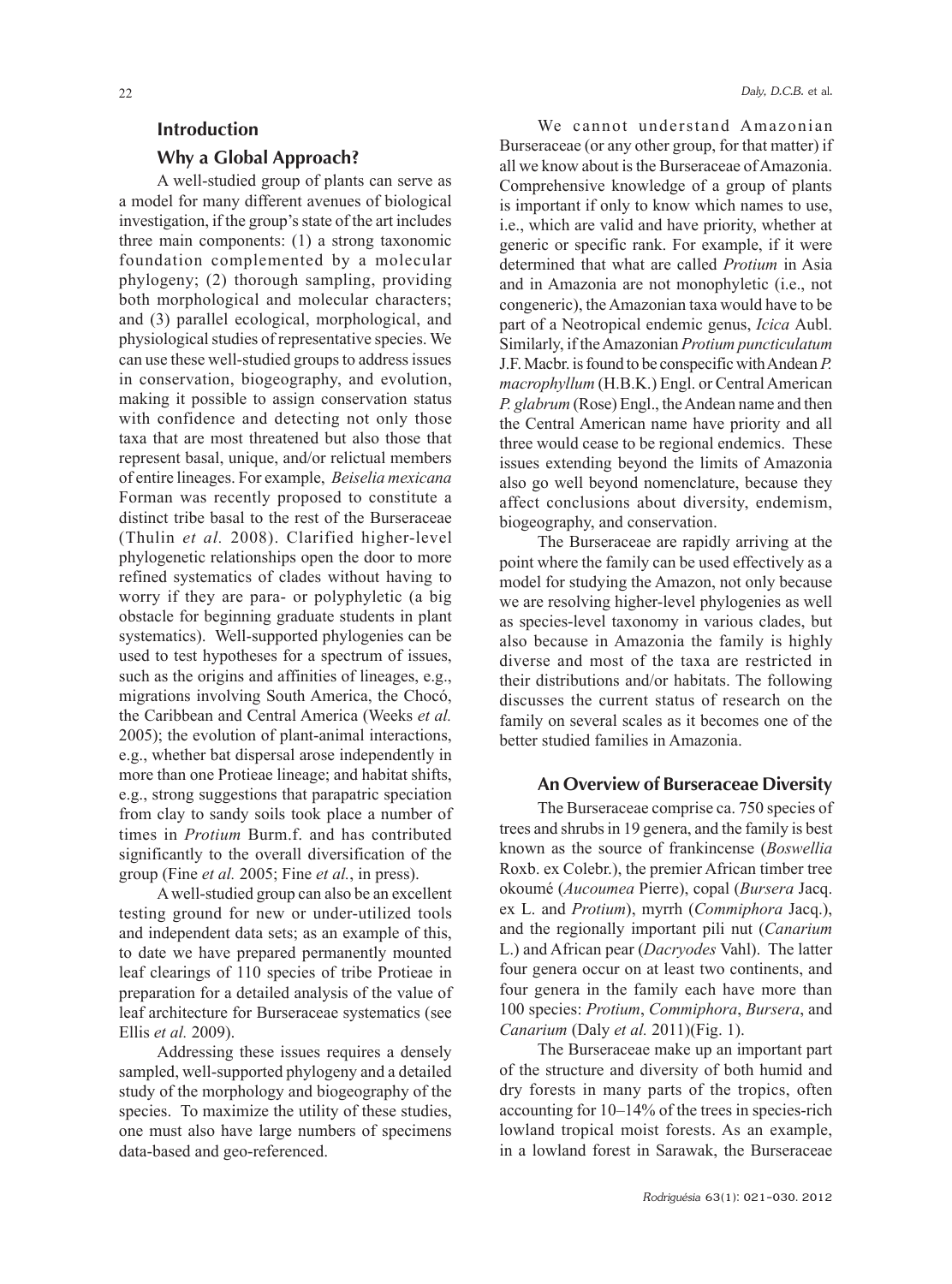## **Introduction**

## **Why a Global Approach?**

A well-studied group of plants can serve as a model for many different avenues of biological investigation, if the group's state of the art includes three main components: (1) a strong taxonomic foundation complemented by a molecular phylogeny; (2) thorough sampling, providing both morphological and molecular characters; and (3) parallel ecological, morphological, and physiological studies of representative species. We can use these well-studied groups to address issues in conservation, biogeography, and evolution, making it possible to assign conservation status with confidence and detecting not only those taxa that are most threatened but also those that represent basal, unique, and/or relictual members of entire lineages. For example, *Beiselia mexicana*  Forman was recently proposed to constitute a distinct tribe basal to the rest of the Burseraceae (Thulin *et al.* 2008). Clarified higher-level phylogenetic relationships open the door to more refined systematics of clades without having to worry if they are para- or polyphyletic (a big obstacle for beginning graduate students in plant systematics). Well-supported phylogenies can be used to test hypotheses for a spectrum of issues, such as the origins and affinities of lineages, e.g., migrations involving South America, the Chocó, the Caribbean and Central America (Weeks *et al.* 2005); the evolution of plant-animal interactions, e.g., whether bat dispersal arose independently in more than one Protieae lineage; and habitat shifts, e.g., strong suggestions that parapatric speciation from clay to sandy soils took place a number of times in *Protium* Burm.f. and has contributed significantly to the overall diversification of the group (Fine *et al.* 2005; Fine *et al.*, in press).

A well-studied group can also be an excellent testing ground for new or under-utilized tools and independent data sets; as an example of this, to date we have prepared permanently mounted leaf clearings of 110 species of tribe Protieae in preparation for a detailed analysis of the value of leaf architecture for Burseraceae systematics (see Ellis *et al.* 2009).

Addressing these issues requires a densely sampled, well-supported phylogeny and a detailed study of the morphology and biogeography of the species. To maximize the utility of these studies, one must also have large numbers of specimens data-based and geo-referenced.

We cannot understand Amazonian Burseraceae (or any other group, for that matter) if all we know about is the Burseraceae of Amazonia. Comprehensive knowledge of a group of plants is important if only to know which names to use, i.e., which are valid and have priority, whether at generic or specific rank. For example, if it were determined that what are called *Protium* in Asia and in Amazonia are not monophyletic (i.e., not congeneric), the Amazonian taxa would have to be part of a Neotropical endemic genus, *Icica* Aubl. Similarly, if the Amazonian *Protium puncticulatum* J.F. Macbr. is found to be conspecific with Andean *P. macrophyllum* (H.B.K.) Engl. or Central American *P. glabrum* (Rose) Engl., the Andean name and then the Central American name have priority and all three would cease to be regional endemics. These issues extending beyond the limits of Amazonia also go well beyond nomenclature, because they affect conclusions about diversity, endemism, biogeography, and conservation.

The Burseraceae are rapidly arriving at the point where the family can be used effectively as a model for studying the Amazon, not only because we are resolving higher-level phylogenies as well as species-level taxonomy in various clades, but also because in Amazonia the family is highly diverse and most of the taxa are restricted in their distributions and/or habitats. The following discusses the current status of research on the family on several scales as it becomes one of the better studied families in Amazonia.

## **An Overview of Burseraceae Diversity**

The Burseraceae comprise ca. 750 species of trees and shrubs in 19 genera, and the family is best known as the source of frankincense (*Boswellia*  Roxb. ex Colebr.), the premier African timber tree okoumé (*Aucoumea* Pierre), copal (*Bursera* Jacq. ex L. and *Protium*), myrrh (*Commiphora* Jacq.), and the regionally important pili nut (*Canarium*  L.) and African pear (*Dacryodes* Vahl). The latter four genera occur on at least two continents, and four genera in the family each have more than 100 species: *Protium*, *Commiphora*, *Bursera*, and *Canarium* (Daly *et al.* 2011)(Fig. 1).

The Burseraceae make up an important part of the structure and diversity of both humid and dry forests in many parts of the tropics, often accounting for 10–14% of the trees in species-rich lowland tropical moist forests. As an example, in a lowland forest in Sarawak, the Burseraceae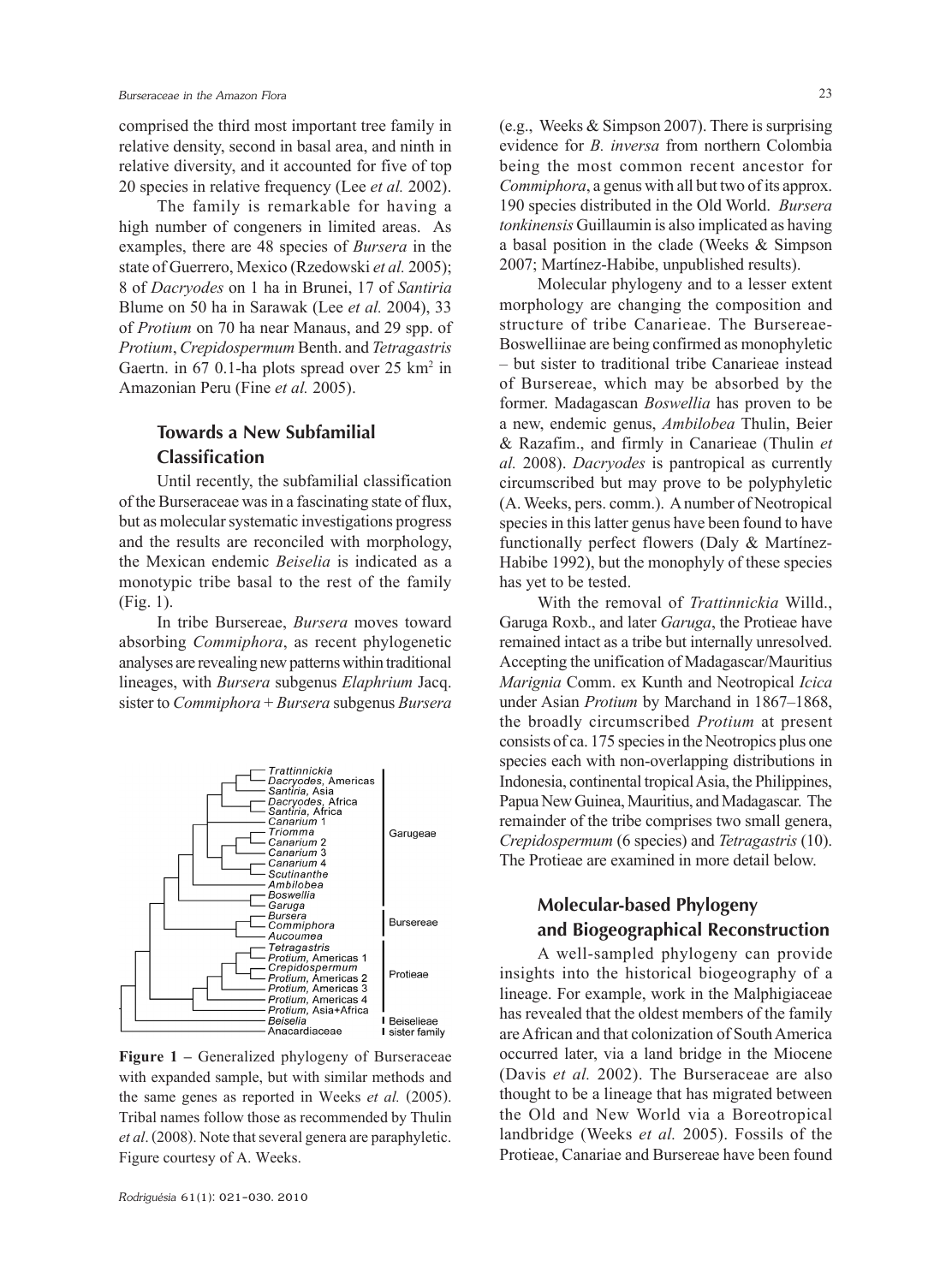comprised the third most important tree family in relative density, second in basal area, and ninth in relative diversity, and it accounted for five of top 20 species in relative frequency (Lee *et al.* 2002).

The family is remarkable for having a high number of congeners in limited areas. As examples, there are 48 species of *Bursera* in the state of Guerrero, Mexico (Rzedowski *et al.* 2005); 8 of *Dacryodes* on 1 ha in Brunei, 17 of *Santiria* Blume on 50 ha in Sarawak (Lee *et al.* 2004), 33 of *Protium* on 70 ha near Manaus, and 29 spp. of *Protium*, *Crepidospermum* Benth. and *Tetragastris* Gaertn. in  $67$  0.1-ha plots spread over  $25 \text{ km}^2$  in Amazonian Peru (Fine *et al.* 2005).

## **Towards a New Subfamilial Classification**

Until recently, the subfamilial classification of the Burseraceae was in a fascinating state of flux, but as molecular systematic investigations progress and the results are reconciled with morphology, the Mexican endemic *Beiselia* is indicated as a monotypic tribe basal to the rest of the family (Fig. 1).

In tribe Bursereae, *Bursera* moves toward absorbing *Commiphora*, as recent phylogenetic analyses are revealing new patterns within traditional lineages, with *Bursera* subgenus *Elaphrium* Jacq. sister to *Commiphora* + *Bursera* subgenus *Bursera*



**Figure 1 –** Generalized phylogeny of Burseraceae with expanded sample, but with similar methods and the same genes as reported in Weeks *et al.* (2005). Tribal names follow those as recommended by Thulin *et al*. (2008). Note that several genera are paraphyletic. Figure courtesy of A. Weeks.

(e.g., Weeks & Simpson 2007). There is surprising evidence for *B. inversa* from northern Colombia being the most common recent ancestor for *Commiphora*, a genus with all but two of its approx. 190 species distributed in the Old World. *Bursera tonkinensis* Guillaumin is also implicated as having a basal position in the clade (Weeks & Simpson 2007; Martínez-Habibe, unpublished results).

Molecular phylogeny and to a lesser extent morphology are changing the composition and structure of tribe Canarieae. The Bursereae-Boswelliinae are being confirmed as monophyletic – but sister to traditional tribe Canarieae instead of Bursereae, which may be absorbed by the former. Madagascan *Boswellia* has proven to be a new, endemic genus, *Ambilobea* Thulin, Beier & Razafim., and firmly in Canarieae (Thulin *et al.* 2008). *Dacryodes* is pantropical as currently circumscribed but may prove to be polyphyletic (A. Weeks, pers. comm.). A number of Neotropical species in this latter genus have been found to have functionally perfect flowers (Daly & Martínez-Habibe 1992), but the monophyly of these species has yet to be tested.

With the removal of *Trattinnickia* Willd., Garuga Roxb., and later *Garuga*, the Protieae have remained intact as a tribe but internally unresolved. Accepting the unification of Madagascar/Mauritius *Marignia* Comm. ex Kunth and Neotropical *Icica* under Asian *Protium* by Marchand in 1867–1868, the broadly circumscribed *Protium* at present consists of ca. 175 species in the Neotropics plus one species each with non-overlapping distributions in Indonesia, continental tropical Asia, the Philippines, Papua New Guinea, Mauritius, and Madagascar. The remainder of the tribe comprises two small genera, *Crepidospermum* (6 species) and *Tetragastris* (10). The Protieae are examined in more detail below.

## **Molecular-based Phylogeny and Biogeographical Reconstruction**

A well-sampled phylogeny can provide insights into the historical biogeography of a lineage. For example, work in the Malphigiaceae has revealed that the oldest members of the family are African and that colonization of South America occurred later, via a land bridge in the Miocene (Davis *et al.* 2002). The Burseraceae are also thought to be a lineage that has migrated between the Old and New World via a Boreotropical landbridge (Weeks *et al.* 2005). Fossils of the Protieae, Canariae and Bursereae have been found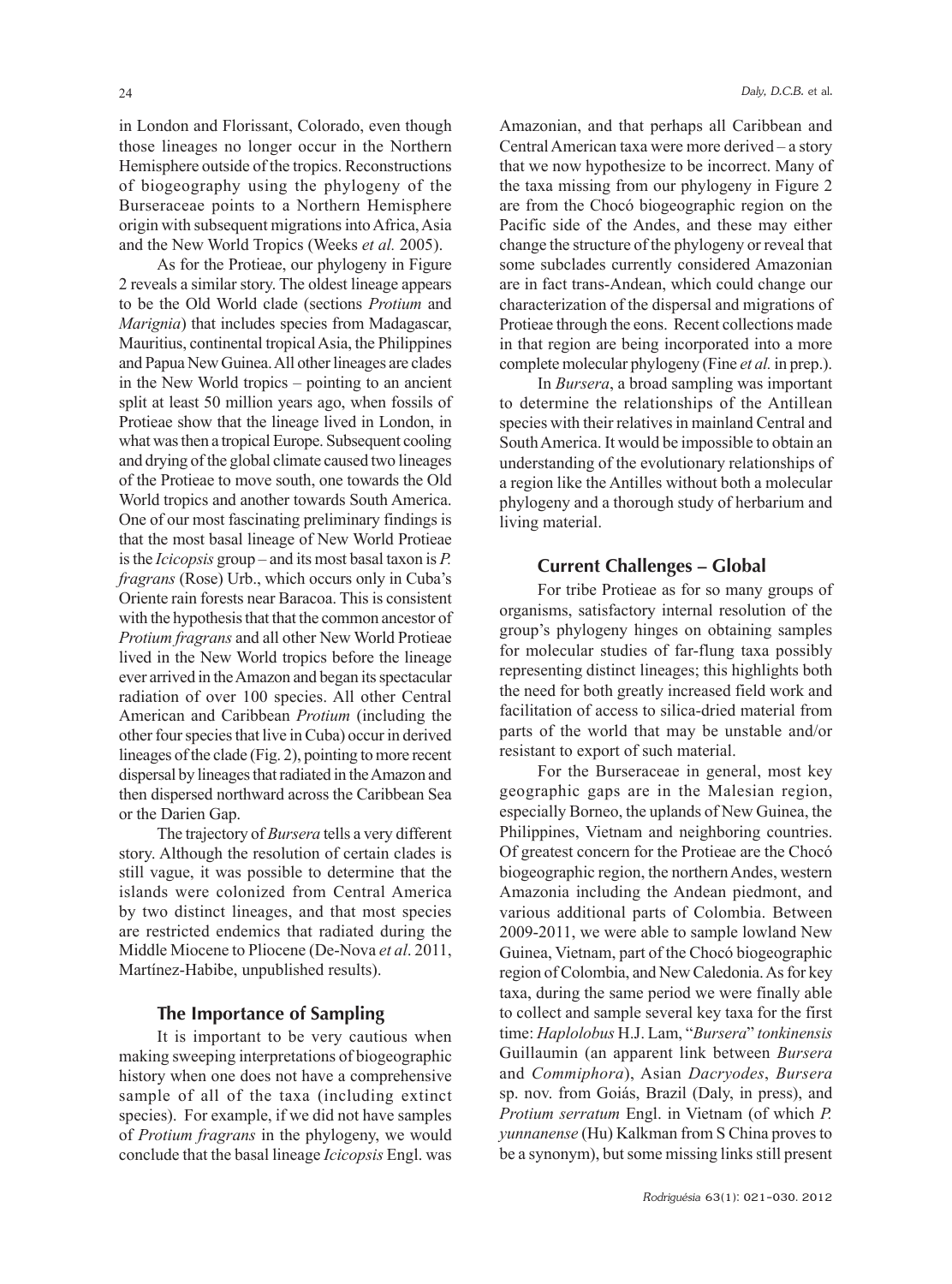in London and Florissant, Colorado, even though those lineages no longer occur in the Northern Hemisphere outside of the tropics. Reconstructions of biogeography using the phylogeny of the Burseraceae points to a Northern Hemisphere origin with subsequent migrations into Africa, Asia and the New World Tropics (Weeks *et al.* 2005).

As for the Protieae, our phylogeny in Figure 2 reveals a similar story. The oldest lineage appears to be the Old World clade (sections *Protium* and *Marignia*) that includes species from Madagascar, Mauritius, continental tropical Asia, the Philippines and Papua New Guinea. All other lineages are clades in the New World tropics – pointing to an ancient split at least 50 million years ago, when fossils of Protieae show that the lineage lived in London, in what was then a tropical Europe. Subsequent cooling and drying of the global climate caused two lineages of the Protieae to move south, one towards the Old World tropics and another towards South America. One of our most fascinating preliminary findings is that the most basal lineage of New World Protieae is the *Icicopsis* group – and its most basal taxon is *P. fragrans* (Rose) Urb., which occurs only in Cuba's Oriente rain forests near Baracoa. This is consistent with the hypothesis that that the common ancestor of *Protium fragrans* and all other New World Protieae lived in the New World tropics before the lineage ever arrived in the Amazon and began its spectacular radiation of over 100 species. All other Central American and Caribbean *Protium* (including the other four species that live in Cuba) occur in derived lineages of the clade (Fig. 2), pointing to more recent dispersal by lineages that radiated in the Amazon and then dispersed northward across the Caribbean Sea or the Darien Gap.

The trajectory of *Bursera* tells a very different story. Although the resolution of certain clades is still vague, it was possible to determine that the islands were colonized from Central America by two distinct lineages, and that most species are restricted endemics that radiated during the Middle Miocene to Pliocene (De-Nova *et al*. 2011, Martínez-Habibe, unpublished results).

#### **The Importance of Sampling**

It is important to be very cautious when making sweeping interpretations of biogeographic history when one does not have a comprehensive sample of all of the taxa (including extinct species). For example, if we did not have samples of *Protium fragrans* in the phylogeny, we would conclude that the basal lineage *Icicopsis* Engl. was

Amazonian, and that perhaps all Caribbean and Central American taxa were more derived – a story that we now hypothesize to be incorrect. Many of the taxa missing from our phylogeny in Figure 2 are from the Chocó biogeographic region on the Pacific side of the Andes, and these may either change the structure of the phylogeny or reveal that some subclades currently considered Amazonian are in fact trans-Andean, which could change our characterization of the dispersal and migrations of Protieae through the eons. Recent collections made in that region are being incorporated into a more complete molecular phylogeny (Fine *et al.* in prep.).

In *Bursera*, a broad sampling was important to determine the relationships of the Antillean species with their relatives in mainland Central and South America. It would be impossible to obtain an understanding of the evolutionary relationships of a region like the Antilles without both a molecular phylogeny and a thorough study of herbarium and living material.

### **Current Challenges – Global**

For tribe Protieae as for so many groups of organisms, satisfactory internal resolution of the group's phylogeny hinges on obtaining samples for molecular studies of far-flung taxa possibly representing distinct lineages; this highlights both the need for both greatly increased field work and facilitation of access to silica-dried material from parts of the world that may be unstable and/or resistant to export of such material.

For the Burseraceae in general, most key geographic gaps are in the Malesian region, especially Borneo, the uplands of New Guinea, the Philippines, Vietnam and neighboring countries. Of greatest concern for the Protieae are the Chocó biogeographic region, the northern Andes, western Amazonia including the Andean piedmont, and various additional parts of Colombia. Between 2009-2011, we were able to sample lowland New Guinea, Vietnam, part of the Chocó biogeographic region of Colombia, and New Caledonia. As for key taxa, during the same period we were finally able to collect and sample several key taxa for the first time: *Haplolobus* H.J. Lam, "*Bursera*" *tonkinensis* Guillaumin (an apparent link between *Bursera* and *Commiphora*), Asian *Dacryodes*, *Bursera* sp. nov. from Goiás, Brazil (Daly, in press), and *Protium serratum* Engl. in Vietnam (of which *P. yunnanense* (Hu) Kalkman from S China proves to be a synonym), but some missing links still present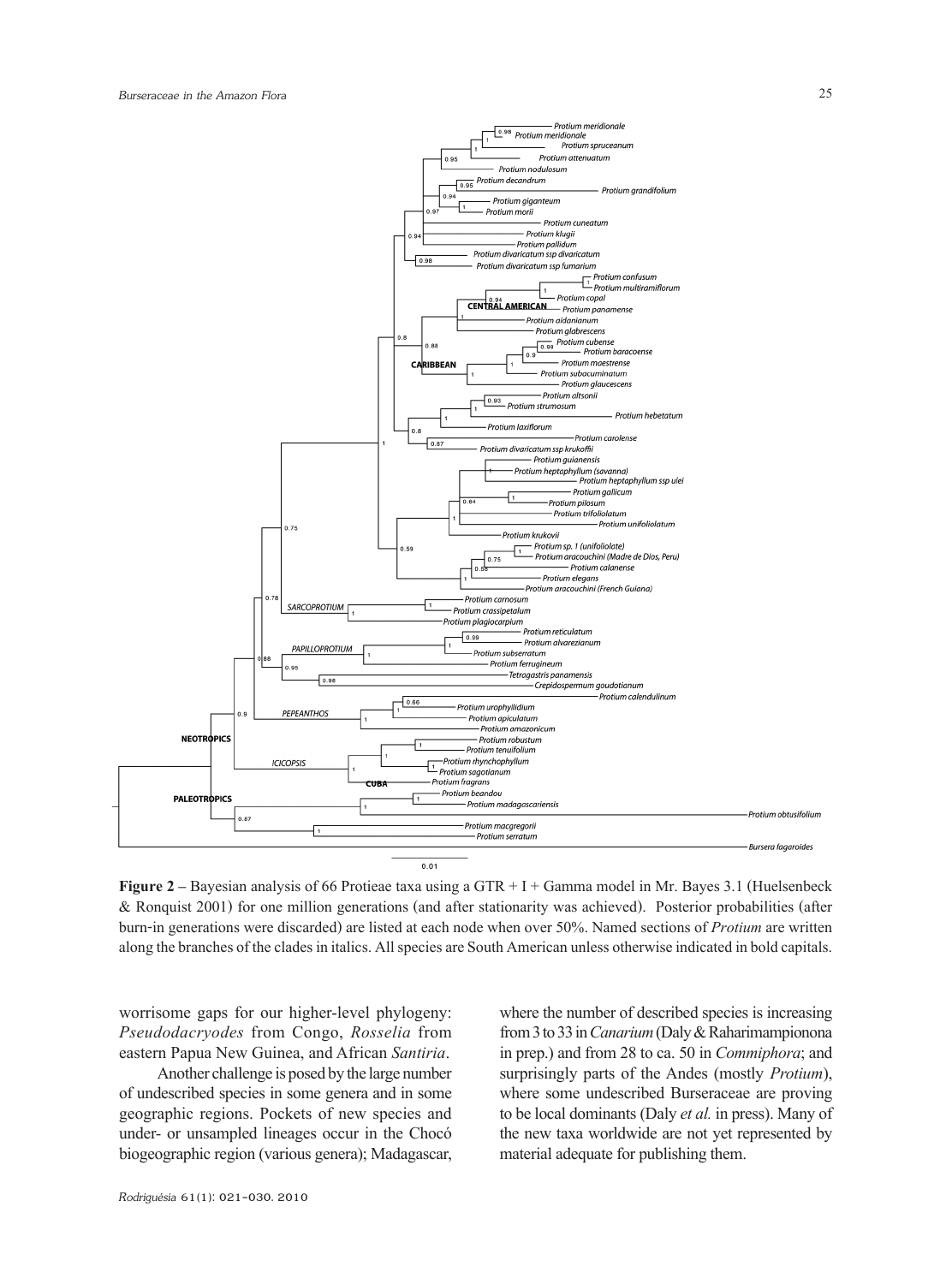

**Figure 2** – Bayesian analysis of 66 Protieae taxa using a GTR + I + Gamma model in Mr. Bayes 3.1 (Huelsenbeck & Ronquist 2001) for one million generations (and after stationarity was achieved). Posterior probabilities (after burn-in generations were discarded) are listed at each node when over 50%. Named sections of *Protium* are written along the branches of the clades in italics. All species are South American unless otherwise indicated in bold capitals.

worrisome gaps for our higher-level phylogeny: *Pseudodacryodes* from Congo, *Rosselia* from eastern Papua New Guinea, and African *Santiria*.

Another challenge is posed by the large number of undescribed species in some genera and in some geographic regions. Pockets of new species and under- or unsampled lineages occur in the Chocó biogeographic region (various genera); Madagascar, where the number of described species is increasing from 3 to 33 in *Canarium* (Daly & Raharimampionona in prep.) and from 28 to ca. 50 in *Commiphora*; and surprisingly parts of the Andes (mostly *Protium*), where some undescribed Burseraceae are proving to be local dominants (Daly *et al.* in press). Many of the new taxa worldwide are not yet represented by material adequate for publishing them.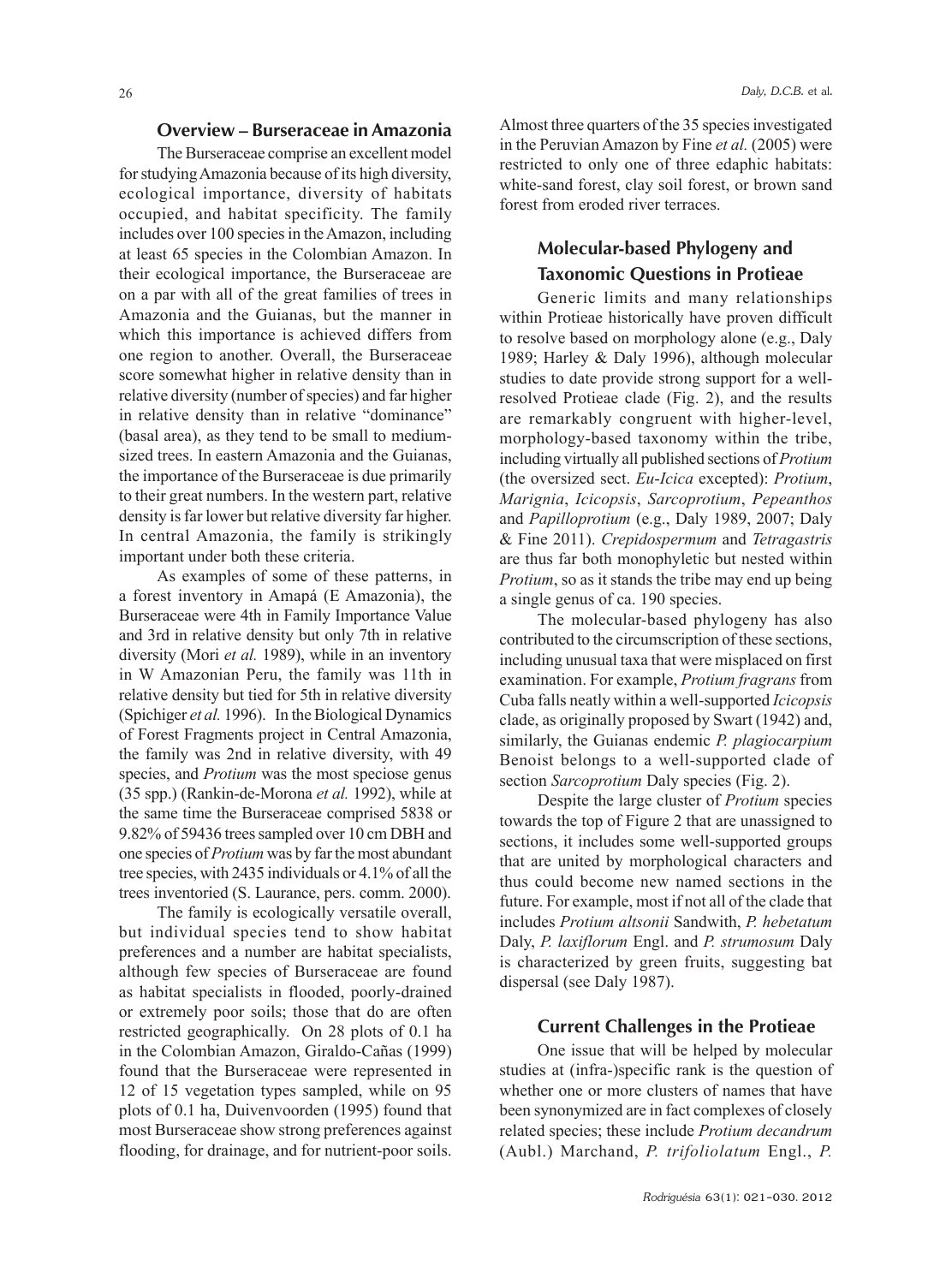## **Overview – Burseraceae in Amazonia**

The Burseraceae comprise an excellent model for studying Amazonia because of its high diversity, ecological importance, diversity of habitats occupied, and habitat specificity. The family includes over 100 species in the Amazon, including at least 65 species in the Colombian Amazon. In their ecological importance, the Burseraceae are on a par with all of the great families of trees in Amazonia and the Guianas, but the manner in which this importance is achieved differs from one region to another. Overall, the Burseraceae score somewhat higher in relative density than in relative diversity (number of species) and far higher in relative density than in relative "dominance" (basal area), as they tend to be small to mediumsized trees. In eastern Amazonia and the Guianas, the importance of the Burseraceae is due primarily to their great numbers. In the western part, relative density is far lower but relative diversity far higher. In central Amazonia, the family is strikingly important under both these criteria.

As examples of some of these patterns, in a forest inventory in Amapá (E Amazonia), the Burseraceae were 4th in Family Importance Value and 3rd in relative density but only 7th in relative diversity (Mori *et al.* 1989), while in an inventory in W Amazonian Peru, the family was 11th in relative density but tied for 5th in relative diversity (Spichiger *et al.* 1996). In the Biological Dynamics of Forest Fragments project in Central Amazonia, the family was 2nd in relative diversity, with 49 species, and *Protium* was the most speciose genus (35 spp.) (Rankin-de-Morona *et al.* 1992), while at the same time the Burseraceae comprised 5838 or 9.82% of 59436 trees sampled over 10 cm DBH and one species of *Protium* was by far the most abundant tree species, with 2435 individuals or 4.1% of all the trees inventoried (S. Laurance, pers. comm. 2000).

The family is ecologically versatile overall, but individual species tend to show habitat preferences and a number are habitat specialists, although few species of Burseraceae are found as habitat specialists in flooded, poorly-drained or extremely poor soils; those that do are often restricted geographically. On 28 plots of 0.1 ha in the Colombian Amazon, Giraldo-Cañas (1999) found that the Burseraceae were represented in 12 of 15 vegetation types sampled, while on 95 plots of 0.1 ha, Duivenvoorden (1995) found that most Burseraceae show strong preferences against flooding, for drainage, and for nutrient-poor soils. Almost three quarters of the 35 species investigated in the Peruvian Amazon by Fine *et al.* (2005) were restricted to only one of three edaphic habitats: white-sand forest, clay soil forest, or brown sand forest from eroded river terraces.

## **Molecular-based Phylogeny and Taxonomic Questions in Protieae**

Generic limits and many relationships within Protieae historically have proven difficult to resolve based on morphology alone (e.g., Daly 1989; Harley & Daly 1996), although molecular studies to date provide strong support for a wellresolved Protieae clade (Fig. 2), and the results are remarkably congruent with higher-level, morphology-based taxonomy within the tribe, including virtually all published sections of *Protium* (the oversized sect. *Eu*-*Icica* excepted): *Protium*, *Marignia*, *Icicopsis*, *Sarcoprotium*, *Pepeanthos* and *Papilloprotium* (e.g., Daly 1989, 2007; Daly & Fine 2011). *Crepidospermum* and *Tetragastris* are thus far both monophyletic but nested within *Protium*, so as it stands the tribe may end up being a single genus of ca. 190 species.

The molecular-based phylogeny has also contributed to the circumscription of these sections, including unusual taxa that were misplaced on first examination. For example, *Protium fragrans* from Cuba falls neatly within a well-supported *Icicopsis* clade, as originally proposed by Swart (1942) and, similarly, the Guianas endemic *P. plagiocarpium* Benoist belongs to a well-supported clade of section *Sarcoprotium* Daly species (Fig. 2).

Despite the large cluster of *Protium* species towards the top of Figure 2 that are unassigned to sections, it includes some well-supported groups that are united by morphological characters and thus could become new named sections in the future. For example, most if not all of the clade that includes *Protium altsonii* Sandwith, *P. hebetatum*  Daly, *P. laxiflorum* Engl. and *P. strumosum* Daly is characterized by green fruits, suggesting bat dispersal (see Daly 1987).

### **Current Challenges in the Protieae**

One issue that will be helped by molecular studies at (infra-)specific rank is the question of whether one or more clusters of names that have been synonymized are in fact complexes of closely related species; these include *Protium decandrum*  (Aubl.) Marchand, *P. trifoliolatum* Engl., *P.*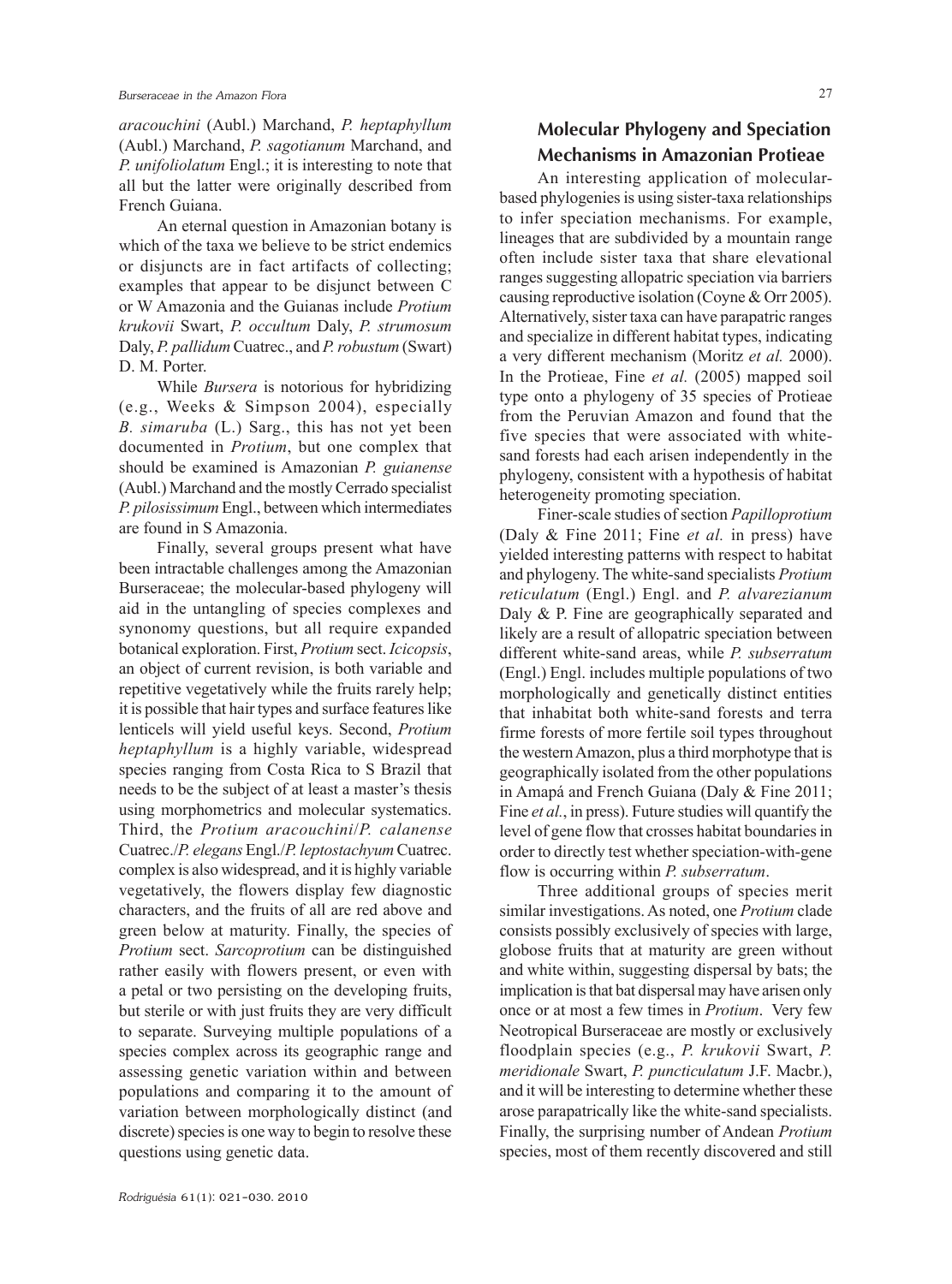*aracouchini* (Aubl.) Marchand, *P. heptaphyllum*  (Aubl.) Marchand, *P. sagotianum* Marchand, and *P. unifoliolatum* Engl.; it is interesting to note that all but the latter were originally described from French Guiana.

An eternal question in Amazonian botany is which of the taxa we believe to be strict endemics or disjuncts are in fact artifacts of collecting; examples that appear to be disjunct between C or W Amazonia and the Guianas include *Protium krukovii* Swart, *P. occultum* Daly, *P. strumosum*  Daly, *P. pallidum* Cuatrec., and *P. robustum* (Swart) D. M. Porter.

While *Bursera* is notorious for hybridizing (e.g., Weeks & Simpson 2004), especially *B. simaruba* (L.) Sarg., this has not yet been documented in *Protium*, but one complex that should be examined is Amazonian *P. guianense*  (Aubl.) Marchand and the mostly Cerrado specialist *P. pilosissimum* Engl., between which intermediates are found in S Amazonia.

Finally, several groups present what have been intractable challenges among the Amazonian Burseraceae; the molecular-based phylogeny will aid in the untangling of species complexes and synonomy questions, but all require expanded botanical exploration. First, *Protium* sect. *Icicopsis*, an object of current revision, is both variable and repetitive vegetatively while the fruits rarely help; it is possible that hair types and surface features like lenticels will yield useful keys. Second, *Protium heptaphyllum* is a highly variable, widespread species ranging from Costa Rica to S Brazil that needs to be the subject of at least a master's thesis using morphometrics and molecular systematics. Third, the *Protium aracouchini*/*P. calanense*  Cuatrec./*P. elegans* Engl./*P. leptostachyum* Cuatrec. complex is also widespread, and it is highly variable vegetatively, the flowers display few diagnostic characters, and the fruits of all are red above and green below at maturity. Finally, the species of *Protium* sect. *Sarcoprotium* can be distinguished rather easily with flowers present, or even with a petal or two persisting on the developing fruits, but sterile or with just fruits they are very difficult to separate. Surveying multiple populations of a species complex across its geographic range and assessing genetic variation within and between populations and comparing it to the amount of variation between morphologically distinct (and discrete) species is one way to begin to resolve these questions using genetic data.

An interesting application of molecularbased phylogenies is using sister-taxa relationships to infer speciation mechanisms. For example, lineages that are subdivided by a mountain range often include sister taxa that share elevational ranges suggesting allopatric speciation via barriers causing reproductive isolation (Coyne & Orr 2005). Alternatively, sister taxa can have parapatric ranges and specialize in different habitat types, indicating a very different mechanism (Moritz *et al.* 2000). In the Protieae, Fine *et al.* (2005) mapped soil type onto a phylogeny of 35 species of Protieae from the Peruvian Amazon and found that the five species that were associated with whitesand forests had each arisen independently in the phylogeny, consistent with a hypothesis of habitat heterogeneity promoting speciation.

Finer-scale studies of section *Papilloprotium* (Daly & Fine 2011; Fine *et al.* in press) have yielded interesting patterns with respect to habitat and phylogeny. The white-sand specialists *Protium reticulatum* (Engl.) Engl. and *P. alvarezianum*  Daly & P. Fine are geographically separated and likely are a result of allopatric speciation between different white-sand areas, while *P. subserratum*  (Engl.) Engl. includes multiple populations of two morphologically and genetically distinct entities that inhabitat both white-sand forests and terra firme forests of more fertile soil types throughout the western Amazon, plus a third morphotype that is geographically isolated from the other populations in Amapá and French Guiana (Daly & Fine 2011; Fine *et al.*, in press). Future studies will quantify the level of gene flow that crosses habitat boundaries in order to directly test whether speciation-with-gene flow is occurring within *P. subserratum*.

Three additional groups of species merit similar investigations. As noted, one *Protium* clade consists possibly exclusively of species with large, globose fruits that at maturity are green without and white within, suggesting dispersal by bats; the implication is that bat dispersal may have arisen only once or at most a few times in *Protium*. Very few Neotropical Burseraceae are mostly or exclusively floodplain species (e.g., *P. krukovii* Swart, *P. meridionale* Swart, *P. puncticulatum* J.F. Macbr.), and it will be interesting to determine whether these arose parapatrically like the white-sand specialists. Finally, the surprising number of Andean *Protium* species, most of them recently discovered and still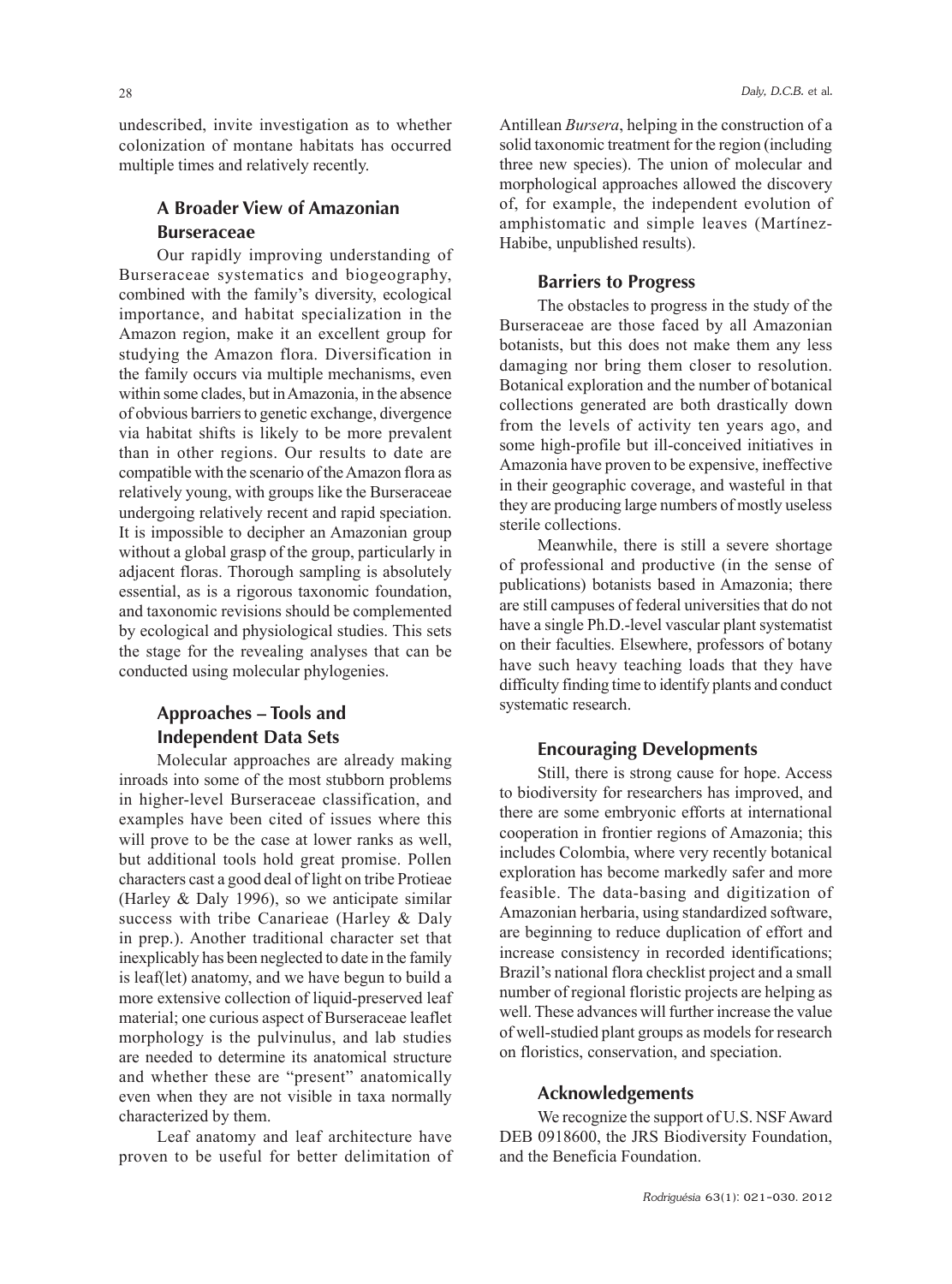undescribed, invite investigation as to whether colonization of montane habitats has occurred multiple times and relatively recently.

## **A Broader View of Amazonian Burseraceae**

Our rapidly improving understanding of Burseraceae systematics and biogeography, combined with the family's diversity, ecological importance, and habitat specialization in the Amazon region, make it an excellent group for studying the Amazon flora. Diversification in the family occurs via multiple mechanisms, even within some clades, but in Amazonia, in the absence of obvious barriers to genetic exchange, divergence via habitat shifts is likely to be more prevalent than in other regions. Our results to date are compatible with the scenario of the Amazon flora as relatively young, with groups like the Burseraceae undergoing relatively recent and rapid speciation. It is impossible to decipher an Amazonian group without a global grasp of the group, particularly in adjacent floras. Thorough sampling is absolutely essential, as is a rigorous taxonomic foundation, and taxonomic revisions should be complemented by ecological and physiological studies. This sets the stage for the revealing analyses that can be conducted using molecular phylogenies.

## **Approaches – Tools and Independent Data Sets**

Molecular approaches are already making inroads into some of the most stubborn problems in higher-level Burseraceae classification, and examples have been cited of issues where this will prove to be the case at lower ranks as well, but additional tools hold great promise. Pollen characters cast a good deal of light on tribe Protieae (Harley & Daly 1996), so we anticipate similar success with tribe Canarieae (Harley & Daly in prep.). Another traditional character set that inexplicably has been neglected to date in the family is leaf(let) anatomy, and we have begun to build a more extensive collection of liquid-preserved leaf material; one curious aspect of Burseraceae leaflet morphology is the pulvinulus, and lab studies are needed to determine its anatomical structure and whether these are "present" anatomically even when they are not visible in taxa normally characterized by them.

Leaf anatomy and leaf architecture have proven to be useful for better delimitation of Antillean *Bursera*, helping in the construction of a solid taxonomic treatment for the region (including three new species). The union of molecular and morphological approaches allowed the discovery of, for example, the independent evolution of amphistomatic and simple leaves (Martínez-Habibe, unpublished results).

### **Barriers to Progress**

The obstacles to progress in the study of the Burseraceae are those faced by all Amazonian botanists, but this does not make them any less damaging nor bring them closer to resolution. Botanical exploration and the number of botanical collections generated are both drastically down from the levels of activity ten years ago, and some high-profile but ill-conceived initiatives in Amazonia have proven to be expensive, ineffective in their geographic coverage, and wasteful in that they are producing large numbers of mostly useless sterile collections.

Meanwhile, there is still a severe shortage of professional and productive (in the sense of publications) botanists based in Amazonia; there are still campuses of federal universities that do not have a single Ph.D.-level vascular plant systematist on their faculties. Elsewhere, professors of botany have such heavy teaching loads that they have difficulty finding time to identify plants and conduct systematic research.

## **Encouraging Developments**

Still, there is strong cause for hope. Access to biodiversity for researchers has improved, and there are some embryonic efforts at international cooperation in frontier regions of Amazonia; this includes Colombia, where very recently botanical exploration has become markedly safer and more feasible. The data-basing and digitization of Amazonian herbaria, using standardized software, are beginning to reduce duplication of effort and increase consistency in recorded identifications; Brazil's national flora checklist project and a small number of regional floristic projects are helping as well. These advances will further increase the value of well-studied plant groups as models for research on floristics, conservation, and speciation.

### **Acknowledgements**

We recognize the support of U.S. NSF Award DEB 0918600, the JRS Biodiversity Foundation, and the Beneficia Foundation.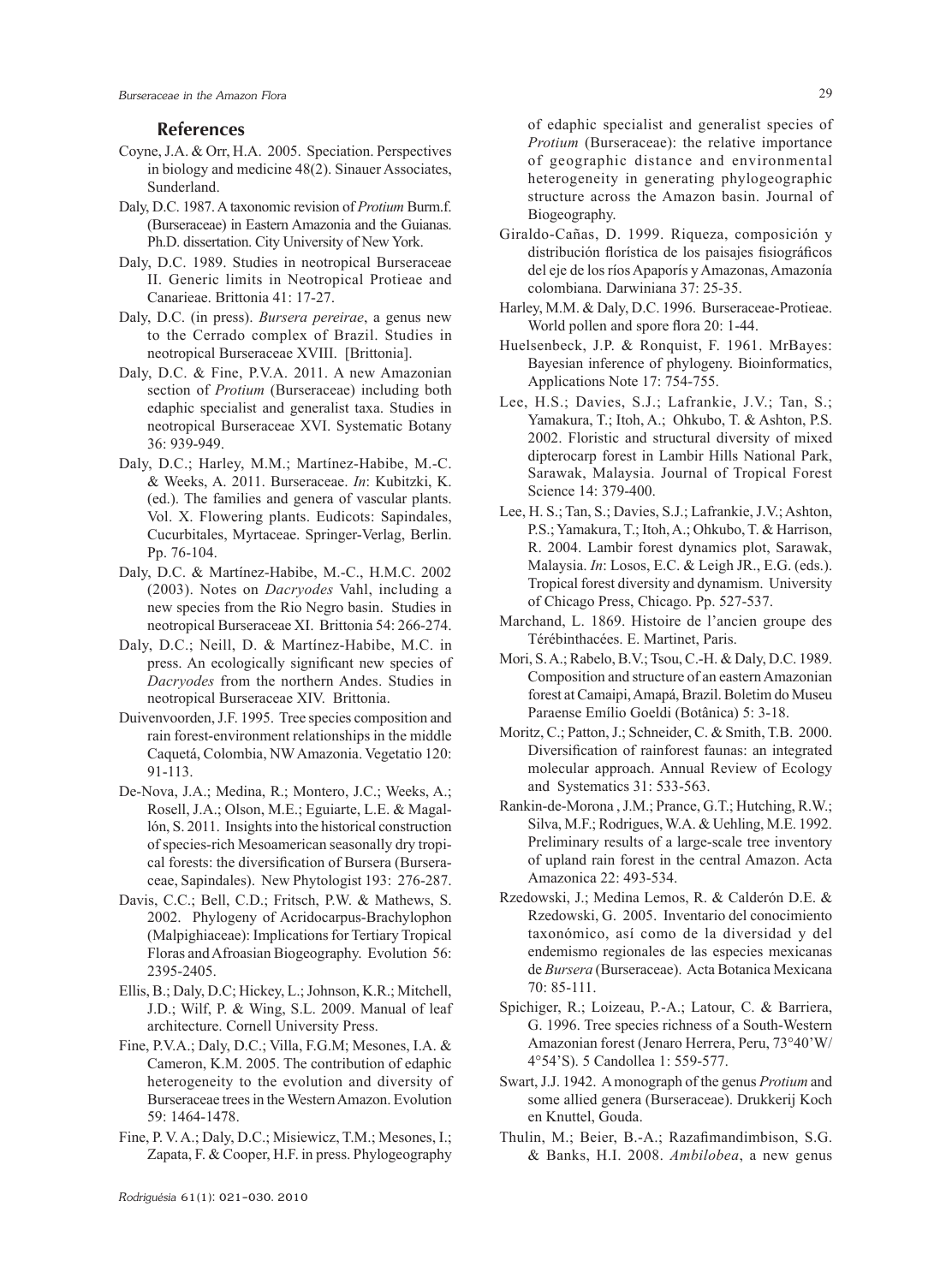#### **References**

- Coyne, J.A. & Orr, H.A. 2005. Speciation. Perspectives in biology and medicine 48(2). Sinauer Associates, Sunderland.
- Daly, D.C. 1987. A taxonomic revision of *Protium* Burm.f. (Burseraceae) in Eastern Amazonia and the Guianas. Ph.D. dissertation. City University of New York.
- Daly, D.C. 1989. Studies in neotropical Burseraceae II. Generic limits in Neotropical Protieae and Canarieae. Brittonia 41: 17-27.
- Daly, D.C. (in press). *Bursera pereirae*, a genus new to the Cerrado complex of Brazil. Studies in neotropical Burseraceae XVIII. [Brittonia].
- Daly, D.C. & Fine, P.V.A. 2011. A new Amazonian section of *Protium* (Burseraceae) including both edaphic specialist and generalist taxa. Studies in neotropical Burseraceae XVI. Systematic Botany 36: 939-949.
- Daly, D.C.; Harley, M.M.; Martínez-Habibe, M.-C. & Weeks, A. 2011. Burseraceae. *In*: Kubitzki, K. (ed.). The families and genera of vascular plants. Vol. X. Flowering plants. Eudicots: Sapindales, Cucurbitales, Myrtaceae. Springer-Verlag, Berlin. Pp. 76-104.
- Daly, D.C. & Martínez-Habibe, M.-C., H.M.C. 2002 (2003). Notes on *Dacryodes* Vahl, including a new species from the Rio Negro basin. Studies in neotropical Burseraceae XI. Brittonia 54: 266-274.
- Daly, D.C.; Neill, D. & Martínez-Habibe, M.C. in press. An ecologically significant new species of *Dacryodes* from the northern Andes. Studies in neotropical Burseraceae XIV. Brittonia.
- Duivenvoorden, J.F. 1995. Tree species composition and rain forest-environment relationships in the middle Caquetá, Colombia, NW Amazonia. Vegetatio 120: 91-113.
- De-Nova, J.A.; Medina, R.; Montero, J.C.; Weeks, A.; Rosell, J.A.; Olson, M.E.; Eguiarte, L.E. & Magallón, S. 2011. Insights into the historical construction of species-rich Mesoamerican seasonally dry tropical forests: the diversification of Bursera (Burseraceae, Sapindales). New Phytologist 193: 276-287.
- Davis, C.C.; Bell, C.D.; Fritsch, P.W. & Mathews, S. 2002. Phylogeny of Acridocarpus-Brachylophon (Malpighiaceae): Implications for Tertiary Tropical Floras and Afroasian Biogeography. Evolution 56: 2395-2405.
- Ellis, B.; Daly, D.C; Hickey, L.; Johnson, K.R.; Mitchell, J.D.; Wilf, P. & Wing, S.L. 2009. Manual of leaf architecture. Cornell University Press.
- Fine, P.V.A.; Daly, D.C.; Villa, F.G.M; Mesones, I.A. & Cameron, K.M. 2005. The contribution of edaphic heterogeneity to the evolution and diversity of Burseraceae trees in the Western Amazon. Evolution 59: 1464-1478.
- Fine, P. V. A.; Daly, D.C.; Misiewicz, T.M.; Mesones, I.; Zapata, F. & Cooper, H.F. in press. Phylogeography

of edaphic specialist and generalist species of *Protium* (Burseraceae): the relative importance of geographic distance and environmental heterogeneity in generating phylogeographic structure across the Amazon basin. Journal of Biogeography.

- Giraldo-Cañas, D. 1999. Riqueza, composición y distribución florística de los paisajes fisiográficos del eje de los ríos Apaporís y Amazonas, Amazonía colombiana. Darwiniana 37: 25-35.
- Harley, M.M. & Daly, D.C. 1996. Burseraceae-Protieae. World pollen and spore flora 20: 1-44.
- Huelsenbeck, J.P. & Ronquist, F. 1961. MrBayes: Bayesian inference of phylogeny. Bioinformatics, Applications Note 17: 754-755.
- Lee, H.S.; Davies, S.J.; Lafrankie, J.V.; Tan, S.; Yamakura, T.; Itoh, A.; Ohkubo, T. & Ashton, P.S. 2002. Floristic and structural diversity of mixed dipterocarp forest in Lambir Hills National Park, Sarawak, Malaysia. Journal of Tropical Forest Science 14: 379-400.
- Lee, H. S.; Tan, S.; Davies, S.J.; Lafrankie, J.V.; Ashton, P.S.; Yamakura, T.; Itoh, A.; Ohkubo, T. & Harrison, R. 2004. Lambir forest dynamics plot, Sarawak, Malaysia. *In*: Losos, E.C. & Leigh JR., E.G. (eds.). Tropical forest diversity and dynamism. University of Chicago Press, Chicago. Pp. 527-537.
- Marchand, L. 1869. Histoire de l'ancien groupe des Térébinthacées. E. Martinet, Paris.
- Mori, S. A.; Rabelo, B.V.; Tsou, C.-H. & Daly, D.C. 1989. Composition and structure of an eastern Amazonian forest at Camaipi, Amapá, Brazil. Boletim do Museu Paraense Emílio Goeldi (Botânica) 5: 3-18.
- Moritz, C.; Patton, J.; Schneider, C. & Smith, T.B. 2000. Diversification of rainforest faunas: an integrated molecular approach. Annual Review of Ecology and Systematics 31: 533-563.
- Rankin-de-Morona , J.M.; Prance, G.T.; Hutching, R.W.; Silva, M.F.; Rodrigues, W.A. & Uehling, M.E. 1992. Preliminary results of a large-scale tree inventory of upland rain forest in the central Amazon. Acta Amazonica 22: 493-534.
- Rzedowski, J.; Medina Lemos, R. & Calderón D.E. & Rzedowski, G. 2005. Inventario del conocimiento taxonómico, así como de la diversidad y del endemismo regionales de las especies mexicanas de *Bursera* (Burseraceae). Acta Botanica Mexicana 70: 85-111.
- Spichiger, R.; Loizeau, P.-A.; Latour, C. & Barriera, G. 1996. Tree species richness of a South-Western Amazonian forest (Jenaro Herrera, Peru, 73°40'W/ 4°54'S). 5 Candollea 1: 559-577.
- Swart, J.J. 1942. A monograph of the genus *Protium* and some allied genera (Burseraceae). Drukkerij Koch en Knuttel, Gouda.
- Thulin, M.; Beier, B.-A.; Razafimandimbison, S.G. & Banks, H.I. 2008. *Ambilobea*, a new genus